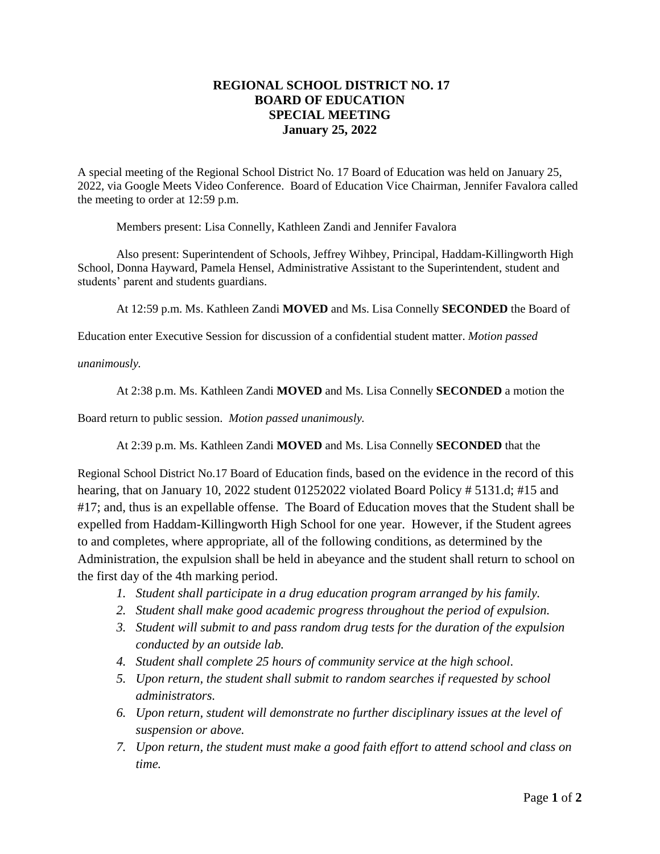## **REGIONAL SCHOOL DISTRICT NO. 17 BOARD OF EDUCATION SPECIAL MEETING January 25, 2022**

A special meeting of the Regional School District No. 17 Board of Education was held on January 25, 2022, via Google Meets Video Conference. Board of Education Vice Chairman, Jennifer Favalora called the meeting to order at 12:59 p.m.

Members present: Lisa Connelly, Kathleen Zandi and Jennifer Favalora

Also present: Superintendent of Schools, Jeffrey Wihbey, Principal, Haddam-Killingworth High School, Donna Hayward, Pamela Hensel, Administrative Assistant to the Superintendent, student and students' parent and students guardians.

At 12:59 p.m. Ms. Kathleen Zandi **MOVED** and Ms. Lisa Connelly **SECONDED** the Board of

Education enter Executive Session for discussion of a confidential student matter. *Motion passed* 

*unanimously.*

At 2:38 p.m. Ms. Kathleen Zandi **MOVED** and Ms. Lisa Connelly **SECONDED** a motion the

Board return to public session. *Motion passed unanimously.* 

At 2:39 p.m. Ms. Kathleen Zandi **MOVED** and Ms. Lisa Connelly **SECONDED** that the

Regional School District No.17 Board of Education finds, based on the evidence in the record of this hearing, that on January 10, 2022 student 01252022 violated Board Policy # 5131.d; #15 and #17; and, thus is an expellable offense. The Board of Education moves that the Student shall be expelled from Haddam-Killingworth High School for one year. However, if the Student agrees to and completes, where appropriate, all of the following conditions, as determined by the Administration, the expulsion shall be held in abeyance and the student shall return to school on the first day of the 4th marking period.

- *1. Student shall participate in a drug education program arranged by his family.*
- *2. Student shall make good academic progress throughout the period of expulsion.*
- *3. Student will submit to and pass random drug tests for the duration of the expulsion conducted by an outside lab.*
- *4. Student shall complete 25 hours of community service at the high school.*
- *5. Upon return, the student shall submit to random searches if requested by school administrators.*
- *6. Upon return, student will demonstrate no further disciplinary issues at the level of suspension or above.*
- *7. Upon return, the student must make a good faith effort to attend school and class on time.*